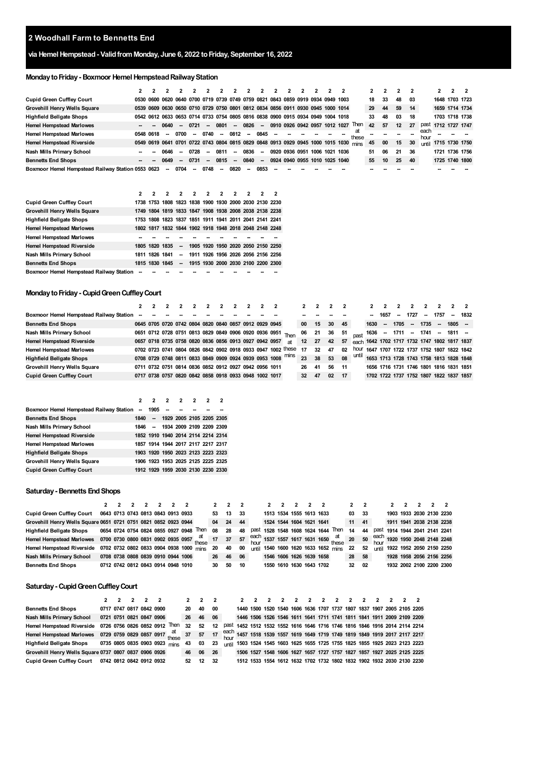# **via HemelHempstead- ValidfromMonday, June 6, 2022 toFriday, September 16, 2022**

# **MondaytoFriday- Boxmoor HemelHempsteadRailwayStation**

|                                                   |                          |                          |        |                          |                          |        | $\mathbf{z}$             | ,      | 2                                                                               | $\mathbf{z}$ |  |                               |                                                                                      |       |    |    |    |    |              |                      |  |
|---------------------------------------------------|--------------------------|--------------------------|--------|--------------------------|--------------------------|--------|--------------------------|--------|---------------------------------------------------------------------------------|--------------|--|-------------------------------|--------------------------------------------------------------------------------------|-------|----|----|----|----|--------------|----------------------|--|
| <b>Cupid Green Cuffley Court</b>                  |                          |                          |        |                          |                          |        |                          |        | 0530 0600 0620 0640 0700 0719 0739 0749 0759 0821 0843 0859 0919 0934 0949 1003 |              |  |                               |                                                                                      |       | 18 | 33 | 48 | 03 |              | 1648 1703 1723       |  |
| <b>Grovehill Henry Wells Square</b>               |                          |                          |        |                          |                          |        |                          |        | 0539 0609 0630 0650 0710 0729 0750 0801 0812 0834 0856 0911 0930 0945 1000 1014 |              |  |                               |                                                                                      |       | 29 | 44 | 59 | 14 |              | 1659 1714 1734       |  |
| <b>Highfield Bellgate Shops</b>                   |                          |                          |        |                          |                          |        |                          |        | 0542 0612 0633 0653 0714 0733 0754 0805 0816 0838 0900 0915 0934 0949 1004 1018 |              |  |                               |                                                                                      |       | 33 | 48 | 03 | 18 |              | 1703 1718 1738       |  |
| <b>Hemel Hempstead Marlowes</b>                   | $\overline{\phantom{a}}$ | 0640                     |        | $-0721$                  | $\sim$                   | 0801   | $\sim$                   | 0826 - |                                                                                 |              |  |                               | 0910 0926 0942 0957 1012 1027 Then                                                   |       | 42 | 57 | 12 | 27 | past         | 1712 1727 1747       |  |
| <b>Hemel Hempstead Marlowes</b>                   | 0548 0618                | $\overline{\phantom{a}}$ | 0700   | $\overline{\phantom{a}}$ | 0740                     | $\sim$ | 0812                     | $\sim$ | 0845                                                                            |              |  |                               |                                                                                      | these |    |    |    |    | each<br>hour |                      |  |
| <b>Hemel Hempstead Riverside</b>                  |                          |                          |        |                          |                          |        |                          |        |                                                                                 |              |  |                               | 0549 0619 0641 0701 0722 0743 0804 0815 0829 0848 0913 0929 0945 1000 1015 1030 mins |       | 45 | 00 | 15 | 30 |              | until 1715 1730 1750 |  |
| Nash Mills Primary School                         |                          | 0646                     | $\sim$ | 0728                     | $\sim$                   | 0811   | $\overline{\phantom{a}}$ | 0836   | $\sim$                                                                          |              |  | 0920 0936 0951 1006 1021 1036 |                                                                                      |       | 51 | 06 | 21 | 36 |              | 1721 1736 1756       |  |
| <b>Bennetts End Shops</b>                         | -                        | 0649                     | $\sim$ | 0731                     | $\overline{\phantom{a}}$ | 0815   | $\sim$                   | 0840 - |                                                                                 |              |  | 0924 0940 0955 1010 1025 1040 |                                                                                      |       | 55 | 10 | 25 | 40 |              | 1725 1740 1800       |  |
| Boxmoor Hemel Hempstead Railway Station 0553 0623 |                          | $\sim$                   | 0704   | $\sim$                   | 0748                     | $\sim$ | 0820                     | --     | 0853                                                                            |              |  |                               |                                                                                      |       |    |    |    |    |              |                      |  |

|                                         |                |  | 2 2 2 2 2 2 2 2 2                                      |  |  |  |
|-----------------------------------------|----------------|--|--------------------------------------------------------|--|--|--|
| <b>Cupid Green Cuffley Court</b>        |                |  | 1738 1753 1808 1823 1838 1900 1930 2000 2030 2130 2230 |  |  |  |
| Grovehill Henry Wells Square            |                |  | 1749 1804 1819 1833 1847 1908 1938 2008 2038 2138 2238 |  |  |  |
| <b>Highfield Bellgate Shops</b>         |                |  | 1753 1808 1823 1837 1851 1911 1941 2011 2041 2141 2241 |  |  |  |
| <b>Hemel Hempstead Marlowes</b>         |                |  | 1802 1817 1832 1844 1902 1918 1948 2018 2048 2148 2248 |  |  |  |
| <b>Hemel Hempstead Marlowes</b>         |                |  |                                                        |  |  |  |
| <b>Hemel Hempstead Riverside</b>        | 1805 1820 1835 |  | - 1905 1920 1950 2020 2050 2150 2250                   |  |  |  |
| Nash Mills Primary School               | 1811 1826 1841 |  | - 1911 1926 1956 2026 2056 2156 2256                   |  |  |  |
| <b>Bennetts End Shops</b>               |                |  | 1815 1830 1845 - 1915 1930 2000 2030 2100 2200 2300    |  |  |  |
| Boxmoor Hemel Hempstead Railway Station |                |  |                                                        |  |  |  |

### **Monday to Friday - Cupid Green Cuffley Court**

|                                         |                          | 2 2 2 2 2 2 2 2 2                                      |  |  |  |                                                              |     |              | $2 \t2 \t2$ |       |                       | $2 \quad 2$ | $\overline{2}$ | $\overline{2}$  |        | 2 <sub>2</sub> | $2 \quad 2$                                   |      |
|-----------------------------------------|--------------------------|--------------------------------------------------------|--|--|--|--------------------------------------------------------------|-----|--------------|-------------|-------|-----------------------|-------------|----------------|-----------------|--------|----------------|-----------------------------------------------|------|
| Boxmoor Hemel Hempstead Railway Station | $\overline{\phantom{a}}$ |                                                        |  |  |  |                                                              |     |              |             |       |                       | 1657        | --             | 1727            | $\sim$ | 1757           | $\sim$                                        | 1832 |
| <b>Bennetts End Shops</b>               |                          | 0645 0705 0720 0742 0804 0820 0840 0857 0912 0929 0945 |  |  |  |                                                              | 00  | 15           | 30          | 45    | 1630                  | $\sim$      | 1705           | $\sim$          | 1735   | $\sim$         | $1805 -$                                      |      |
| Nash Mills Primary School               |                          |                                                        |  |  |  | 0651 0712 0728 0751 0813 0829 0849 0906 0920 0936 0951 Then  | 06  | 21           | 36 51       |       | $_{\text{past}}$ 1636 |             |                | -- 1711 -- 1741 |        | $\sim$         | 1811 –                                        |      |
| <b>Hemel Hempstead Riverside</b>        |                          | 0657 0718 0735 0758 0820 0836 0856 0913 0927 0942 0957 |  |  |  | at                                                           | 12  |              | 27 42       | 57    |                       |             |                |                 |        |                | each 1642 1702 1717 1732 1747 1802 1817 1837  |      |
| <b>Hemel Hempstead Marlowes</b>         |                          |                                                        |  |  |  | 0702 0723 0741 0804 0826 0842 0902 0918 0933 0947 1002 these | -17 | $32^{\circ}$ | 47          | 02    |                       |             |                |                 |        |                | hour 1647 1707 1722 1737 1752 1807 1822 1842  |      |
| <b>Highfield Bellgate Shops</b>         |                          |                                                        |  |  |  | 0708 0729 0748 0811 0833 0849 0909 0924 0939 0953 1008 mins  | 23  | 38           | 53          | 08    |                       |             |                |                 |        |                | until 1653 1713 1728 1743 1758 1813 1828 1848 |      |
| <b>Grovehill Henry Wells Square</b>     |                          | 0711 0732 0751 0814 0836 0852 0912 0927 0942 0956 1011 |  |  |  |                                                              | 26  | 41           | 56          | $-11$ |                       |             |                |                 |        |                | 1656 1716 1731 1746 1801 1816 1831 1851       |      |
| <b>Cupid Green Cuffley Court</b>        |                          | 0717 0738 0757 0820 0842 0858 0918 0933 0948 1002 1017 |  |  |  |                                                              | 32  | 47           | 02          | 17    |                       |             |                |                 |        |                | 1702 1722 1737 1752 1807 1822 1837 1857       |      |

|                                           |      | 2 2 2 2 2 |  |                                    | $\overline{\phantom{a}}$ |
|-------------------------------------------|------|-----------|--|------------------------------------|--------------------------|
| Boxmoor Hemel Hempstead Railway Station - |      | 1905 –    |  |                                    |                          |
| <b>Bennetts End Shops</b>                 | 1840 |           |  | - 1929 2005 2105 2205 2305         |                          |
| Nash Mills Primary School                 |      |           |  | 1846 - 1934 2009 2109 2209 2309    |                          |
| <b>Hemel Hempstead Riverside</b>          |      |           |  | 1852 1910 1940 2014 2114 2214 2314 |                          |
| <b>Hemel Hempstead Marlowes</b>           |      |           |  | 1857 1914 1944 2017 2117 2217 2317 |                          |
| <b>Highfield Bellgate Shops</b>           |      |           |  | 1903 1920 1950 2023 2123 2223 2323 |                          |
| Grovehill Henry Wells Square              |      |           |  | 1906 1923 1953 2025 2125 2225 2325 |                          |
| <b>Cupid Green Cuffley Court</b>          |      |           |  | 1912 1929 1959 2030 2130 2230 2330 |                          |

#### **Saturday- Bennetts EndShops**

|                                                                                                                                                                                                            |                                    |  | 2 2 2 2 2 |                                         |    | $2 \t2 \t2$ |      |      | $2^{\circ}$ | $\overline{2}$ | $\overline{\phantom{a}}$ | $2 \quad 2$              |                                     | $2 \quad 2$   |    |      |  | $\sim$ |                                |
|------------------------------------------------------------------------------------------------------------------------------------------------------------------------------------------------------------|------------------------------------|--|-----------|-----------------------------------------|----|-------------|------|------|-------------|----------------|--------------------------|--------------------------|-------------------------------------|---------------|----|------|--|--------|--------------------------------|
| <b>Cupid Green Cuffley Court</b>                                                                                                                                                                           | 0643 0713 0743 0813 0843 0913 0933 |  |           |                                         | 53 | 13          | - 33 |      |             |                | 1513 1534 1555 1613 1633 |                          |                                     | 03 33         |    |      |  |        | 1903 1933 2030 2130 2230       |
| Grovehill Henry Wells Square 0651 0721 0751 0821 0852 0923 0944                                                                                                                                            |                                    |  |           |                                         | 04 | 24          | 44   |      |             |                | 1524 1544 1604 1621 1641 |                          |                                     | $11 \quad 41$ |    |      |  |        | 1911 1941 2038 2138 2238       |
| <b>Highfield Bellgate Shops</b>                                                                                                                                                                            |                                    |  |           | 0654 0724 0754 0824 0855 0927 0948 Then | 08 | 28          | 48   | past |             |                |                          |                          | 1528 1548 1608 1624 1644 Then       | 14            | 44 | past |  |        | 1914 1944 2041 2141 2241       |
| Hemel Hempstead Marlowes 0700 0730 0800 0831 0902 0935 0957 $\frac{at}{these}$ 17 37 57 $\frac{each}{hour}$ 1537 1557 1617 1631 1650 $\frac{at}{these}$ 20 50 $\frac{each}{hour}$ 1920 1950 2048 2148 2248 |                                    |  |           |                                         |    |             |      |      |             |                |                          |                          |                                     |               |    |      |  |        |                                |
| Hemel Hempstead Riverside 0702 0732 0802 0833 0904 0938 1000 mins                                                                                                                                          |                                    |  |           |                                         | 20 | 40          | 00   |      |             |                |                          |                          | until 1540 1600 1620 1633 1652 mins | 22            | 52 |      |  |        | until 1922 1952 2050 2150 2250 |
| Nash Mills Primary School                                                                                                                                                                                  | 0708 0738 0808 0839 0910 0944 1006 |  |           |                                         | 26 | 46          | 06   |      |             |                |                          | 1546 1606 1626 1639 1658 |                                     | 28 58         |    |      |  |        | 1928 1958 2056 2156 2256       |
| <b>Bennetts End Shops</b>                                                                                                                                                                                  | 0712 0742 0812 0843 0914 0948 1010 |  |           |                                         | 30 | 50          | 10   |      |             |                | 1550 1610 1630 1643 1702 |                          |                                     | 32 02         |    |      |  |        | 1932 2002 2100 2200 2300       |

# **Saturday- CupidGreenCuffleyCourt**

|                                                                                                                                                                       |  |  | 2 2 2 2 2 | 2 2 2    |  |  |  |  |  |  |  | 2 2 2 2 2 2 2 2 2 2 2 2 2 2 |                                                                                   |
|-----------------------------------------------------------------------------------------------------------------------------------------------------------------------|--|--|-----------|----------|--|--|--|--|--|--|--|-----------------------------|-----------------------------------------------------------------------------------|
| Bennetts End Shops 0717 0747 0817 0842 0900                                                                                                                           |  |  |           | 20 40 00 |  |  |  |  |  |  |  |                             | 1440 1500 1520 1540 1606 1636 1707 1737 1807 1837 1907 2005 2105 2205             |
| Nash Mills Primary School 0721 0751 0821 0847 0906                                                                                                                    |  |  |           | 26 46 06 |  |  |  |  |  |  |  |                             | 1446 1506 1526 1546 1611 1641 1711 1741 1811 1841 1911 2009 2109 2209             |
| Hemel Hempstead Riverside 0726 0756 0826 0852 0912 Then 32 52 12 past 1452 1512 1532 1552 1616 1646 1716 1746 1816 1846 1916 2014 2114 2214                           |  |  |           |          |  |  |  |  |  |  |  |                             |                                                                                   |
| Hemel Hempstead Marlowes 0729 0759 0829 0857 0917 $\frac{at}{these}$ 37 57 17 $\frac{each}{th}$ 1457 1518 1539 1557 1619 1649 1719 1749 1819 1849 1919 2017 2117 2217 |  |  |           |          |  |  |  |  |  |  |  |                             |                                                                                   |
| Highfield Bellgate Shops 0735 0805 0835 0903 0923 mins 43                                                                                                             |  |  |           |          |  |  |  |  |  |  |  |                             | 03 23 until 1503 1524 1545 1603 1625 1655 1725 1755 1825 1855 1925 2023 2123 2223 |
| Grovehill Henry Wells Square 0737 0807 0837 0906 0926                                                                                                                 |  |  |           | 46 06 26 |  |  |  |  |  |  |  |                             | 1506 1527 1548 1606 1627 1657 1727 1757 1827 1857 1927 2025 2125 2225             |
| Cupid Green Cuffley Court 0742 0812 0842 0912 0932                                                                                                                    |  |  |           | 52 12 32 |  |  |  |  |  |  |  |                             | 1512 1533 1554 1612 1632 1702 1732 1802 1832 1902 1932 2030 2130 2230             |